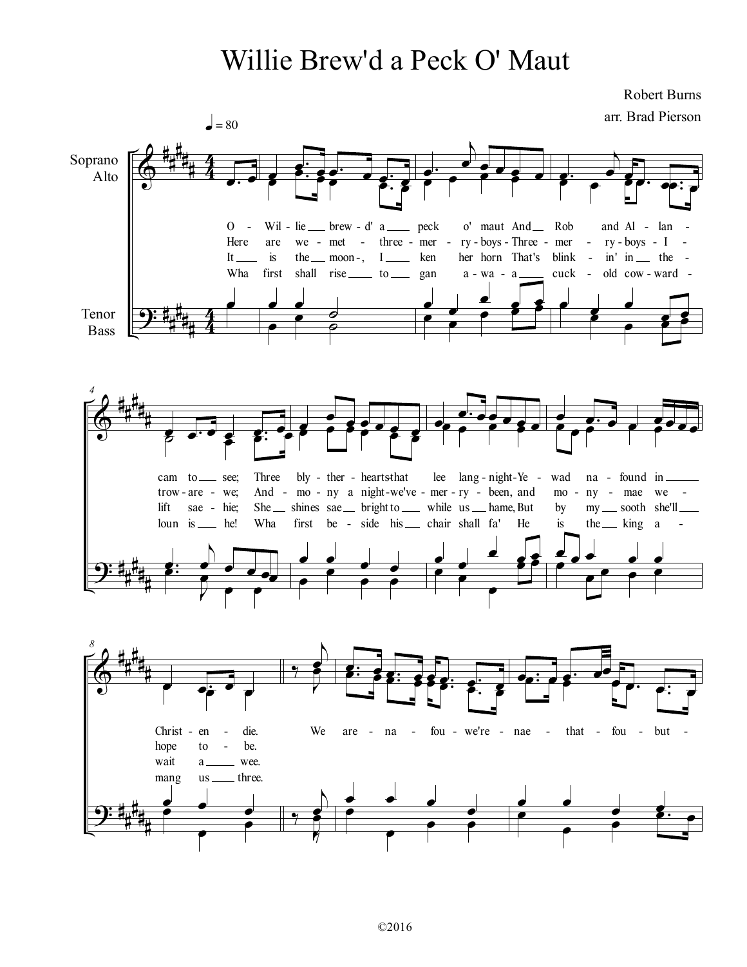## Willie Brew'd a Peck O' Maut

 $\Phi$  $\overline{9}$ : ∀ √<br>∰ ∀ ∀ ∀ ∀ ∀ ∀ ∀ ∀  $rac{4}{4}$ 4  $\frac{4}{4}$ 4 Soprano Alto Tenor Bass <mark>。</mark> Here  $0 It$ Wha œ  $\bullet$  = 80  $\overrightarrow{\bullet}$ —<br>s∶ <del>。 。</del> Wil is are first - lie we - met - three - mer - ry-boys-Three - mer - ry-boys - I the \_\_\_ moon-, I\_\_\_\_\_ ken shall rise to gan brew d' a **g** <sup>e</sup><br>⊆° <sup>e e</sup> s∶ s œ e<br>L  $\frac{1}{\sigma}$ <u>. .</u>  $\frac{1}{\sigma}$ œ− ι  $\frac{1}{2}$ e e e e - peck - Wil - lie \_\_\_ brew - d' a \_\_\_\_ peck o' maut And \_\_ Rob and Al - lan --, I ken her horn That's blink - in' in the a wa a <mark>。。。。。</mark><br>● ● e<br>L œ  $\frac{1}{\cdot}$  $\frac{e}{e}$  e s œ  $\frac{1}{2}$ œ− ι  $\overrightarrow{e}$ œ− œ − œ cuck and Al - lan ry boys I in' in the  $-$  wa -  $a$  \_\_\_\_\_ cuck - old cow - ward œ œ œœœ− œ œ  $\frac{1}{2}$ œ œ  $\overline{\mathbf{z}}$  $\Phi$  $\frac{1}{2}$ ∀ ∀ ∀ ∀ ∀ ∀ ∀ ∀ ∀ ∀ *4* œ œ− œ œ œ− œ cam to \_\_ see; trow are we; lift loun is he! sae - hie; Three bly - ther - hearts that - are - we; And - mo - ny a night-we've - mer - ry - been, and mo - ny - mae we -She \_\_ shines sae \_\_ bright to \_\_\_ while us \_\_ hame, But Wha ट कर <del>द</del>े हैं: ° g∙ Ι e<br>L  $\overline{\cdot}$ d∴ ι  $\frac{1}{2}$   $\frac{1}{2}$   $\frac{1}{2}$   $\frac{1}{2}$  $\overrightarrow{\bullet}$ œ  $e^e$ first be - side his chair shall fa' He is the king a  $e^{\frac{1}{2}e^{\frac{1}{2}e^{\frac{1}{2}}}}$ œ e<br>P  $\frac{\cdot}{\cdot}$ <u>ے ل</u>ے  $\overrightarrow{e}$ œ <mark>⊕∙ ee e</mark> e e - ther - hearts that lee lang - night-Ye - wad na -He  $\frac{a \cdot b \cdot c}{c}$ e<br>P œ œ œ  $\frac{e}{\sqrt{2}}$ œ  $\frac{1}{2}$ œ œ− œ œ œœœ œ wad mo by is na found in ny - mae we my sooth she'll the \_\_ king a œ  $e^{\frac{a}{\theta} \cdot e^{\theta}}$ e<br>L œ <u>e e e</u> œ <u>. . . .</u>  $\Phi$  $\overline{9}$ : ∀ ∀ ∀ ∀ ∀ ∀ ∀ ∀ ∀ ∀ *8* œ œ− œ  $\overrightarrow{ }$ Christ hope wait mang en to a us be. die. wee. three. **.**<br>I œ œ œ œ œ  $\frac{1}{\bullet}$ ‰ ι  $\overrightarrow{ }$ We Ι e<br>F ‰ ι<br>1 e<br>R ‰ ι  $\overrightarrow{\bullet}$ <sup>œ</sup><sup>−</sup> <sup>œ</sup> <sup>œ</sup><sup>−</sup> <sup>œ</sup> <sup>œ</sup> <sup>œ</sup><sup>−</sup> <sup>œ</sup><sup>−</sup> <sup>œ</sup> - en - die. We are - na - fou - we're - nae - that - fou - but <sup>œ</sup><sup>−</sup> <sup>œ</sup> <sup>œ</sup><sup>−</sup> <sup>œ</sup> <sup>œ</sup> <sup>œ</sup><sup>−</sup> <sup>œ</sup><sup>−</sup> <sup>œ</sup> œ œ  $\overset{\bullet}{\longrightarrow}$ <u>. . .</u>  $\frac{1}{\bullet}$ œ − œ œ− œœ œ œ− œ− œ - that - fou - but <sup>œ</sup><sup>−</sup> <sup>œ</sup> <sup>−</sup> œ œ œ <mark>s⊹ e</mark> œ œ  $\overrightarrow{ }$ - Robert Burns arr. Brad Pierson